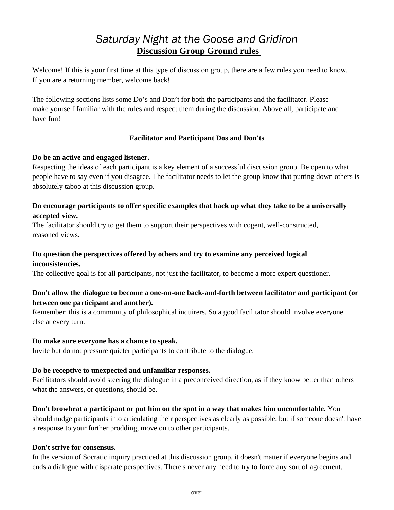# *Saturday Night at the Goose and Gridiron*  **Discussion Group Ground rules**

Welcome! If this is your first time at this type of discussion group, there are a few rules you need to know. If you are a returning member, welcome back!

The following sections lists some Do's and Don't for both the participants and the facilitator. Please make yourself familiar with the rules and respect them during the discussion. Above all, participate and have fun!

# **Facilitator and Participant Dos and Don'ts**

### **Do be an active and engaged listener.**

Respecting the ideas of each participant is a key element of a successful discussion group. Be open to what people have to say even if you disagree. The facilitator needs to let the group know that putting down others is absolutely taboo at this discussion group.

# **Do encourage participants to offer specific examples that back up what they take to be a universally accepted view.**

The facilitator should try to get them to support their perspectives with cogent, well-constructed, reasoned views.

#### **Do question the perspectives offered by others and try to examine any perceived logical inconsistencies.**

The collective goal is for all participants, not just the facilitator, to become a more expert questioner.

# **Don't allow the dialogue to become a one-on-one back-and-forth between facilitator and participant (or between one participant and another).**

Remember: this is a community of philosophical inquirers. So a good facilitator should involve everyone else at every turn.

#### **Do make sure everyone has a chance to speak.**

Invite but do not pressure quieter participants to contribute to the dialogue.

#### **Do be receptive to unexpected and unfamiliar responses.**

Facilitators should avoid steering the dialogue in a preconceived direction, as if they know better than others what the answers, or questions, should be.

# **Don't browbeat a participant or put him on the spot in a way that makes him uncomfortable.** You

should nudge participants into articulating their perspectives as clearly as possible, but if someone doesn't have a response to your further prodding, move on to other participants.

#### **Don't strive for consensus.**

In the version of Socratic inquiry practiced at this discussion group, it doesn't matter if everyone begins and ends a dialogue with disparate perspectives. There's never any need to try to force any sort of agreement.